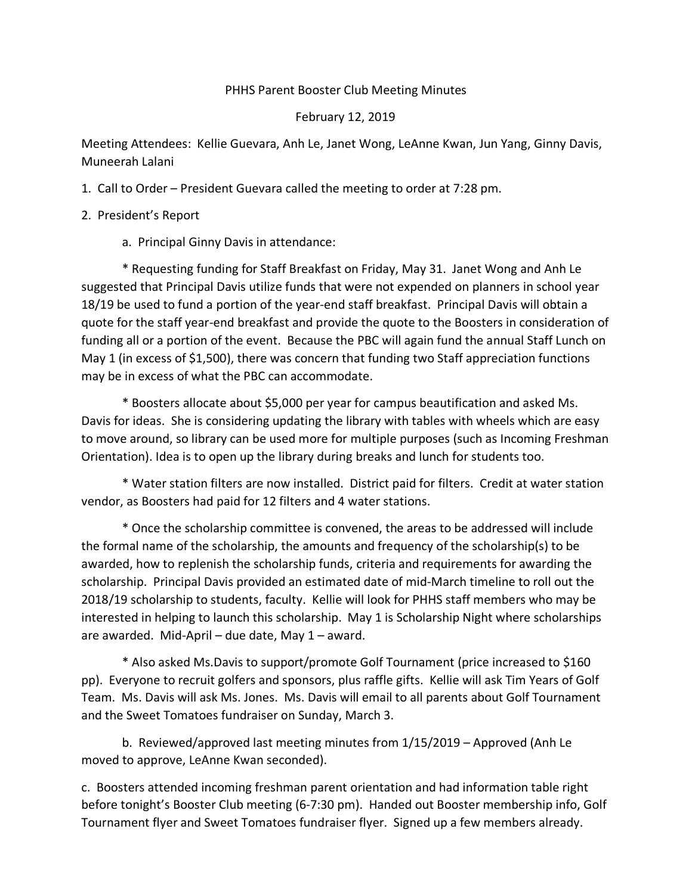## PHHS Parent Booster Club Meeting Minutes

## February 12, 2019

Meeting Attendees: Kellie Guevara, Anh Le, Janet Wong, LeAnne Kwan, Jun Yang, Ginny Davis, Muneerah Lalani

1. Call to Order – President Guevara called the meeting to order at 7:28 pm.

2. President's Report

a. Principal Ginny Davis in attendance:

\* Requesting funding for Staff Breakfast on Friday, May 31. Janet Wong and Anh Le suggested that Principal Davis utilize funds that were not expended on planners in school year 18/19 be used to fund a portion of the year-end staff breakfast. Principal Davis will obtain a quote for the staff year-end breakfast and provide the quote to the Boosters in consideration of funding all or a portion of the event. Because the PBC will again fund the annual Staff Lunch on May 1 (in excess of \$1,500), there was concern that funding two Staff appreciation functions may be in excess of what the PBC can accommodate.

\* Boosters allocate about \$5,000 per year for campus beautification and asked Ms. Davis for ideas. She is considering updating the library with tables with wheels which are easy to move around, so library can be used more for multiple purposes (such as Incoming Freshman Orientation). Idea is to open up the library during breaks and lunch for students too.

\* Water station filters are now installed. District paid for filters. Credit at water station vendor, as Boosters had paid for 12 filters and 4 water stations.

\* Once the scholarship committee is convened, the areas to be addressed will include the formal name of the scholarship, the amounts and frequency of the scholarship(s) to be awarded, how to replenish the scholarship funds, criteria and requirements for awarding the scholarship. Principal Davis provided an estimated date of mid-March timeline to roll out the 2018/19 scholarship to students, faculty. Kellie will look for PHHS staff members who may be interested in helping to launch this scholarship. May 1 is Scholarship Night where scholarships are awarded. Mid-April – due date, May 1 – award.

\* Also asked Ms.Davis to support/promote Golf Tournament (price increased to \$160 pp). Everyone to recruit golfers and sponsors, plus raffle gifts. Kellie will ask Tim Years of Golf Team. Ms. Davis will ask Ms. Jones. Ms. Davis will email to all parents about Golf Tournament and the Sweet Tomatoes fundraiser on Sunday, March 3.

b. Reviewed/approved last meeting minutes from 1/15/2019 – Approved (Anh Le moved to approve, LeAnne Kwan seconded).

c. Boosters attended incoming freshman parent orientation and had information table right before tonight's Booster Club meeting (6-7:30 pm). Handed out Booster membership info, Golf Tournament flyer and Sweet Tomatoes fundraiser flyer. Signed up a few members already.